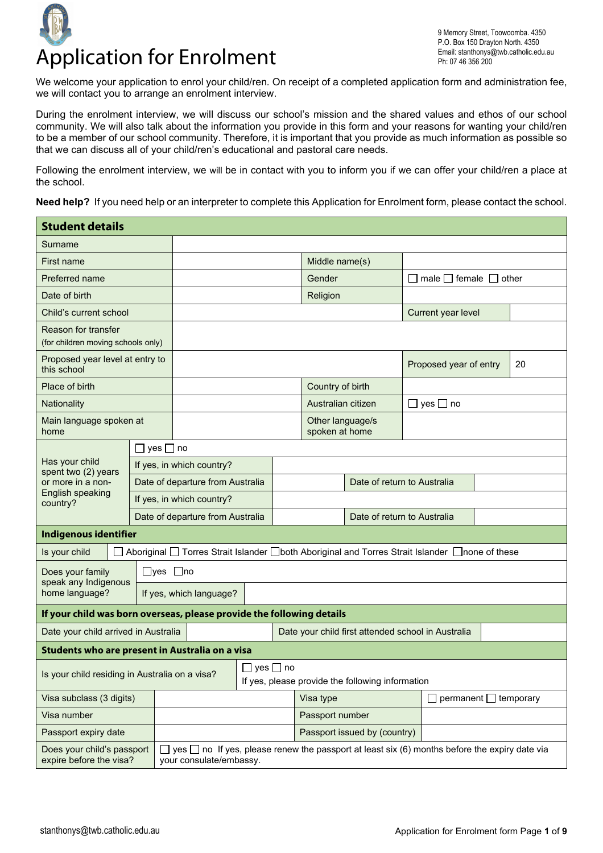

9 Memory Street, Toowoomba. 4350 P.O. Box 150 Drayton North. 4350 Email: stanthonys@twb.catholic.edu.au Ph: 07 46 356 200

We welcome your application to enrol your child/ren*.* On receipt of a completed application form and administration fee, we will contact you to arrange an enrolment interview.

During the enrolment interview, we will discuss our school's mission and the shared values and ethos of our school community. We will also talk about the information you provide in this form and your reasons for wanting your child/ren to be a member of our school community. Therefore, it is important that you provide as much information as possible so that we can discuss all of your child/ren's educational and pastoral care needs.

Following the enrolment interview, we will be in contact with you to inform you if we can offer your child/ren a place at the school.

**Need help?** If you need help or an interpreter to complete this Application for Enrolment form, please contact the school.

| <b>Student details</b>                                                |                         |                      |                                  |                                                                                                                               |                                                    |                |  |                                                  |                  |                                                                                                  |  |                                        |  |    |
|-----------------------------------------------------------------------|-------------------------|----------------------|----------------------------------|-------------------------------------------------------------------------------------------------------------------------------|----------------------------------------------------|----------------|--|--------------------------------------------------|------------------|--------------------------------------------------------------------------------------------------|--|----------------------------------------|--|----|
| Surname                                                               |                         |                      |                                  |                                                                                                                               |                                                    |                |  |                                                  |                  |                                                                                                  |  |                                        |  |    |
| First name                                                            |                         |                      |                                  |                                                                                                                               |                                                    | Middle name(s) |  |                                                  |                  |                                                                                                  |  |                                        |  |    |
| Preferred name                                                        |                         |                      |                                  |                                                                                                                               |                                                    |                |  |                                                  | Gender           |                                                                                                  |  | $\Box$ male $\Box$ female $\Box$ other |  |    |
| Date of birth                                                         |                         |                      |                                  |                                                                                                                               |                                                    |                |  |                                                  | Religion         |                                                                                                  |  |                                        |  |    |
| Child's current school                                                |                         |                      |                                  |                                                                                                                               |                                                    |                |  |                                                  |                  |                                                                                                  |  | Current year level                     |  |    |
| Reason for transfer                                                   |                         |                      |                                  |                                                                                                                               |                                                    |                |  |                                                  |                  |                                                                                                  |  |                                        |  |    |
| (for children moving schools only)                                    |                         |                      |                                  |                                                                                                                               |                                                    |                |  |                                                  |                  |                                                                                                  |  |                                        |  |    |
| Proposed year level at entry to<br>this school                        |                         |                      |                                  |                                                                                                                               |                                                    |                |  |                                                  |                  |                                                                                                  |  | Proposed year of entry                 |  | 20 |
| Place of birth                                                        |                         |                      |                                  |                                                                                                                               |                                                    |                |  |                                                  | Country of birth |                                                                                                  |  |                                        |  |    |
| Nationality                                                           |                         |                      |                                  |                                                                                                                               |                                                    |                |  |                                                  |                  | Australian citizen                                                                               |  | $\Box$ yes $\Box$ no                   |  |    |
| home                                                                  | Main language spoken at |                      |                                  |                                                                                                                               |                                                    |                |  |                                                  |                  | Other language/s<br>spoken at home                                                               |  |                                        |  |    |
|                                                                       |                         | $\Box$ yes $\Box$ no |                                  |                                                                                                                               |                                                    |                |  |                                                  |                  |                                                                                                  |  |                                        |  |    |
| Has your child<br>spent two (2) years                                 |                         |                      |                                  | If yes, in which country?                                                                                                     |                                                    |                |  |                                                  |                  |                                                                                                  |  |                                        |  |    |
| or more in a non-                                                     |                         |                      | Date of departure from Australia |                                                                                                                               |                                                    |                |  |                                                  |                  | Date of return to Australia                                                                      |  |                                        |  |    |
| English speaking<br>country?                                          |                         |                      | If yes, in which country?        |                                                                                                                               |                                                    |                |  |                                                  |                  |                                                                                                  |  |                                        |  |    |
|                                                                       |                         |                      |                                  | Date of departure from Australia                                                                                              |                                                    |                |  |                                                  |                  | Date of return to Australia                                                                      |  |                                        |  |    |
| <b>Indigenous identifier</b>                                          |                         |                      |                                  |                                                                                                                               |                                                    |                |  |                                                  |                  |                                                                                                  |  |                                        |  |    |
| Is your child                                                         |                         |                      |                                  |                                                                                                                               |                                                    |                |  |                                                  |                  | Aboriginal □ Torres Strait Islander □ both Aboriginal and Torres Strait Islander □ none of these |  |                                        |  |    |
| Does your family<br>speak any Indigenous                              |                         |                      |                                  | $\Box$ yes $\Box$ no                                                                                                          |                                                    |                |  |                                                  |                  |                                                                                                  |  |                                        |  |    |
| home language?                                                        |                         |                      |                                  | If yes, which language?                                                                                                       |                                                    |                |  |                                                  |                  |                                                                                                  |  |                                        |  |    |
| If your child was born overseas, please provide the following details |                         |                      |                                  |                                                                                                                               |                                                    |                |  |                                                  |                  |                                                                                                  |  |                                        |  |    |
| Date your child arrived in Australia                                  |                         |                      |                                  |                                                                                                                               | Date your child first attended school in Australia |                |  |                                                  |                  |                                                                                                  |  |                                        |  |    |
| Students who are present in Australia on a visa                       |                         |                      |                                  |                                                                                                                               |                                                    |                |  |                                                  |                  |                                                                                                  |  |                                        |  |    |
| Is your child residing in Australia on a visa?                        |                         |                      |                                  |                                                                                                                               | yes $\Box$ no                                      |                |  | If yes, please provide the following information |                  |                                                                                                  |  |                                        |  |    |
| Visa subclass (3 digits)                                              |                         |                      |                                  |                                                                                                                               |                                                    | Visa type      |  |                                                  |                  | $permannent$ temporary                                                                           |  |                                        |  |    |
| Visa number                                                           |                         |                      |                                  |                                                                                                                               |                                                    |                |  |                                                  |                  | Passport number                                                                                  |  |                                        |  |    |
| Passport expiry date                                                  |                         |                      |                                  |                                                                                                                               |                                                    |                |  |                                                  |                  | Passport issued by (country)                                                                     |  |                                        |  |    |
| Does your child's passport<br>expire before the visa?                 |                         |                      |                                  | yes $\Box$ no If yes, please renew the passport at least six (6) months before the expiry date via<br>your consulate/embassy. |                                                    |                |  |                                                  |                  |                                                                                                  |  |                                        |  |    |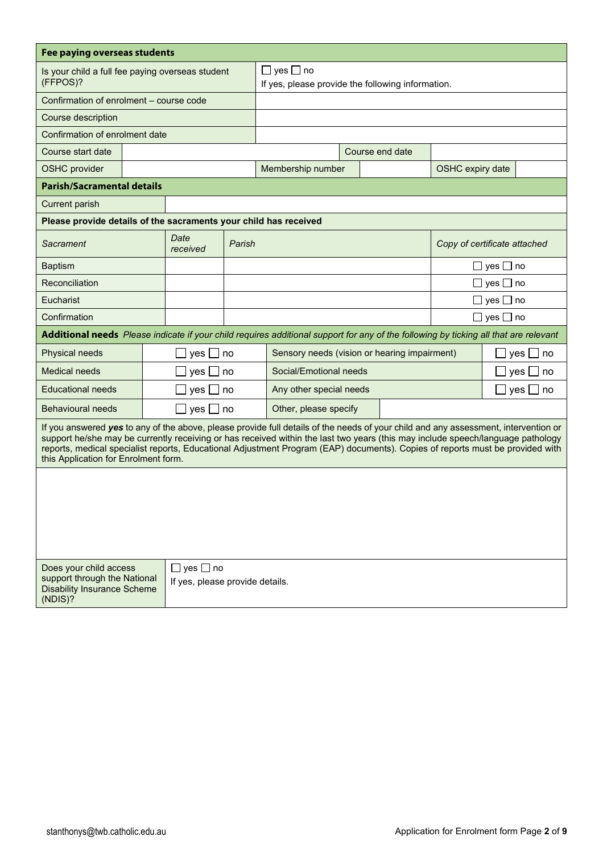| Fee paying overseas students                                                                                                                                                                                                                                                                                                                                                                                                                    |  |                                 |        |                                                                           |  |                 |                              |                      |             |
|-------------------------------------------------------------------------------------------------------------------------------------------------------------------------------------------------------------------------------------------------------------------------------------------------------------------------------------------------------------------------------------------------------------------------------------------------|--|---------------------------------|--------|---------------------------------------------------------------------------|--|-----------------|------------------------------|----------------------|-------------|
| Is your child a full fee paying overseas student<br>(FFPOS)?                                                                                                                                                                                                                                                                                                                                                                                    |  |                                 |        | $\Box$ yes $\Box$ no<br>If yes, please provide the following information. |  |                 |                              |                      |             |
| Confirmation of enrolment – course code                                                                                                                                                                                                                                                                                                                                                                                                         |  |                                 |        |                                                                           |  |                 |                              |                      |             |
| Course description                                                                                                                                                                                                                                                                                                                                                                                                                              |  |                                 |        |                                                                           |  |                 |                              |                      |             |
| Confirmation of enrolment date                                                                                                                                                                                                                                                                                                                                                                                                                  |  |                                 |        |                                                                           |  |                 |                              |                      |             |
| Course start date                                                                                                                                                                                                                                                                                                                                                                                                                               |  |                                 |        |                                                                           |  | Course end date |                              |                      |             |
| <b>OSHC</b> provider                                                                                                                                                                                                                                                                                                                                                                                                                            |  |                                 |        | Membership number                                                         |  |                 | OSHC expiry date             |                      |             |
| <b>Parish/Sacramental details</b>                                                                                                                                                                                                                                                                                                                                                                                                               |  |                                 |        |                                                                           |  |                 |                              |                      |             |
| <b>Current parish</b>                                                                                                                                                                                                                                                                                                                                                                                                                           |  |                                 |        |                                                                           |  |                 |                              |                      |             |
| Please provide details of the sacraments your child has received                                                                                                                                                                                                                                                                                                                                                                                |  |                                 |        |                                                                           |  |                 |                              |                      |             |
| Sacrament                                                                                                                                                                                                                                                                                                                                                                                                                                       |  | Date<br>received                | Parish |                                                                           |  |                 | Copy of certificate attached |                      |             |
| <b>Baptism</b>                                                                                                                                                                                                                                                                                                                                                                                                                                  |  |                                 |        |                                                                           |  |                 |                              | □ yes □ no           |             |
| Reconciliation                                                                                                                                                                                                                                                                                                                                                                                                                                  |  |                                 |        |                                                                           |  |                 |                              | $\Box$ yes $\Box$ no |             |
| Eucharist                                                                                                                                                                                                                                                                                                                                                                                                                                       |  |                                 |        | $\Box$ yes $\Box$ no                                                      |  |                 |                              |                      |             |
| Confirmation                                                                                                                                                                                                                                                                                                                                                                                                                                    |  |                                 |        | $\Box$ yes $\Box$ no                                                      |  |                 |                              |                      |             |
| Additional needs Please indicate if your child requires additional support for any of the following by ticking all that are relevant                                                                                                                                                                                                                                                                                                            |  |                                 |        |                                                                           |  |                 |                              |                      |             |
| Physical needs                                                                                                                                                                                                                                                                                                                                                                                                                                  |  | yes [                           | no     | Sensory needs (vision or hearing impairment)                              |  |                 |                              |                      | yes<br>l no |
| <b>Medical needs</b>                                                                                                                                                                                                                                                                                                                                                                                                                            |  | yes [                           | no     | Social/Emotional needs                                                    |  |                 |                              |                      | yes<br>no   |
| <b>Educational needs</b>                                                                                                                                                                                                                                                                                                                                                                                                                        |  | yes                             | no     | Any other special needs                                                   |  |                 |                              |                      | yes<br>no   |
| <b>Behavioural needs</b>                                                                                                                                                                                                                                                                                                                                                                                                                        |  | yes $\Box$ no                   |        | Other, please specify                                                     |  |                 |                              |                      |             |
| If you answered yes to any of the above, please provide full details of the needs of your child and any assessment, intervention or<br>support he/she may be currently receiving or has received within the last two years (this may include speech/language pathology<br>reports, medical specialist reports, Educational Adjustment Program (EAP) documents). Copies of reports must be provided with<br>this Application for Enrolment form. |  |                                 |        |                                                                           |  |                 |                              |                      |             |
| Does your child access                                                                                                                                                                                                                                                                                                                                                                                                                          |  | $\Box$ yes $\Box$ no            |        |                                                                           |  |                 |                              |                      |             |
| support through the National<br><b>Disability Insurance Scheme</b><br>(NDIS)?                                                                                                                                                                                                                                                                                                                                                                   |  | If yes, please provide details. |        |                                                                           |  |                 |                              |                      |             |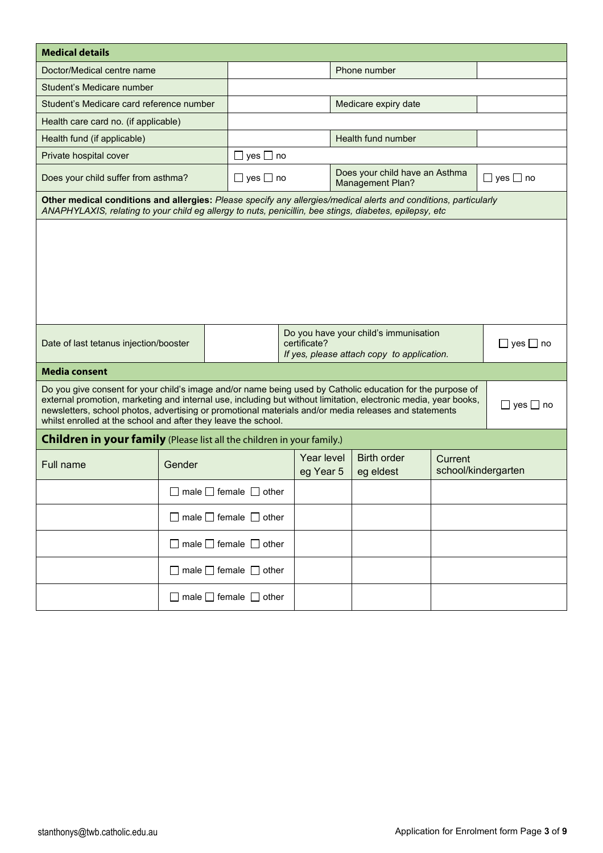| <b>Medical details</b>                                                                                                                                                                                                                                                                                                                                                                                                           |                                        |                                        |  |                         |              |                                                           |         |                      |
|----------------------------------------------------------------------------------------------------------------------------------------------------------------------------------------------------------------------------------------------------------------------------------------------------------------------------------------------------------------------------------------------------------------------------------|----------------------------------------|----------------------------------------|--|-------------------------|--------------|-----------------------------------------------------------|---------|----------------------|
|                                                                                                                                                                                                                                                                                                                                                                                                                                  |                                        |                                        |  |                         |              |                                                           |         |                      |
| Doctor/Medical centre name                                                                                                                                                                                                                                                                                                                                                                                                       |                                        |                                        |  |                         | Phone number |                                                           |         |                      |
| Student's Medicare number                                                                                                                                                                                                                                                                                                                                                                                                        |                                        |                                        |  |                         |              |                                                           |         |                      |
| Student's Medicare card reference number                                                                                                                                                                                                                                                                                                                                                                                         |                                        |                                        |  |                         |              | Medicare expiry date                                      |         |                      |
| Health care card no. (if applicable)                                                                                                                                                                                                                                                                                                                                                                                             |                                        |                                        |  |                         |              |                                                           |         |                      |
| Health fund (if applicable)                                                                                                                                                                                                                                                                                                                                                                                                      |                                        |                                        |  |                         |              | Health fund number                                        |         |                      |
| Private hospital cover                                                                                                                                                                                                                                                                                                                                                                                                           |                                        | yes $\Box$ no                          |  |                         |              |                                                           |         |                      |
| Does your child suffer from asthma?                                                                                                                                                                                                                                                                                                                                                                                              |                                        | □ yes □ no                             |  |                         |              | Does your child have an Asthma<br><b>Management Plan?</b> |         | $\Box$ yes $\Box$ no |
| Other medical conditions and allergies: Please specify any allergies/medical alerts and conditions, particularly<br>ANAPHYLAXIS, relating to your child eg allergy to nuts, penicillin, bee stings, diabetes, epilepsy, etc                                                                                                                                                                                                      |                                        |                                        |  |                         |              |                                                           |         |                      |
| Do you have your child's immunisation<br>certificate?<br>$\Box$ yes $\Box$ no<br>Date of last tetanus injection/booster<br>If yes, please attach copy to application.                                                                                                                                                                                                                                                            |                                        |                                        |  |                         |              |                                                           |         |                      |
| <b>Media consent</b>                                                                                                                                                                                                                                                                                                                                                                                                             |                                        |                                        |  |                         |              |                                                           |         |                      |
| Do you give consent for your child's image and/or name being used by Catholic education for the purpose of<br>external promotion, marketing and internal use, including but without limitation, electronic media, year books,<br>$\Box$ yes $\Box$ no<br>newsletters, school photos, advertising or promotional materials and/or media releases and statements<br>whilst enrolled at the school and after they leave the school. |                                        |                                        |  |                         |              |                                                           |         |                      |
| <b>Children in your family</b> (Please list all the children in your family.)                                                                                                                                                                                                                                                                                                                                                    |                                        |                                        |  |                         |              |                                                           |         |                      |
| Full name                                                                                                                                                                                                                                                                                                                                                                                                                        | Gender                                 |                                        |  | Year level<br>eg Year 5 |              | <b>Birth order</b><br>eg eldest                           | Current | school/kindergarten  |
|                                                                                                                                                                                                                                                                                                                                                                                                                                  |                                        | $\Box$ male $\Box$ female $\Box$ other |  |                         |              |                                                           |         |                      |
|                                                                                                                                                                                                                                                                                                                                                                                                                                  | $\Box$ male $\Box$ female $\Box$ other |                                        |  |                         |              |                                                           |         |                      |
|                                                                                                                                                                                                                                                                                                                                                                                                                                  | $\Box$ male $\Box$ female $\Box$ other |                                        |  |                         |              |                                                           |         |                      |
|                                                                                                                                                                                                                                                                                                                                                                                                                                  |                                        | $\Box$ male $\Box$ female $\Box$ other |  |                         |              |                                                           |         |                      |
|                                                                                                                                                                                                                                                                                                                                                                                                                                  |                                        | $\Box$ male $\Box$ female $\Box$ other |  |                         |              |                                                           |         |                      |
|                                                                                                                                                                                                                                                                                                                                                                                                                                  |                                        |                                        |  |                         |              |                                                           |         |                      |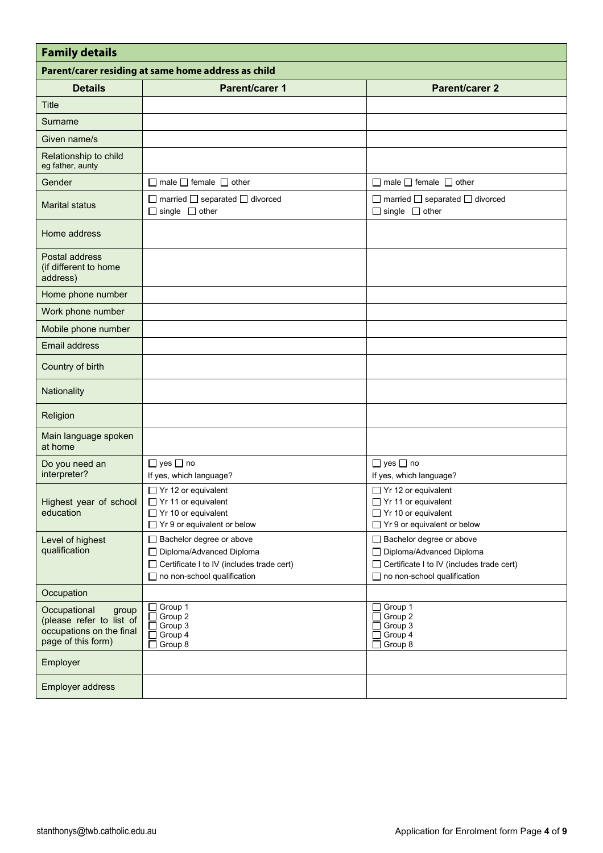| <b>Family details</b>                                                                               |                                                                                                                                                    |                                                                                                                                             |  |  |  |  |  |  |  |
|-----------------------------------------------------------------------------------------------------|----------------------------------------------------------------------------------------------------------------------------------------------------|---------------------------------------------------------------------------------------------------------------------------------------------|--|--|--|--|--|--|--|
|                                                                                                     | Parent/carer residing at same home address as child                                                                                                |                                                                                                                                             |  |  |  |  |  |  |  |
| <b>Details</b>                                                                                      | <b>Parent/carer 1</b>                                                                                                                              | <b>Parent/carer 2</b>                                                                                                                       |  |  |  |  |  |  |  |
| <b>Title</b>                                                                                        |                                                                                                                                                    |                                                                                                                                             |  |  |  |  |  |  |  |
| Surname                                                                                             |                                                                                                                                                    |                                                                                                                                             |  |  |  |  |  |  |  |
| Given name/s                                                                                        |                                                                                                                                                    |                                                                                                                                             |  |  |  |  |  |  |  |
| Relationship to child<br>eg father, aunty                                                           |                                                                                                                                                    |                                                                                                                                             |  |  |  |  |  |  |  |
| Gender                                                                                              | $\Box$ male $\Box$ female $\Box$ other                                                                                                             | $\Box$ male $\Box$ female $\Box$ other                                                                                                      |  |  |  |  |  |  |  |
| <b>Marital status</b>                                                                               | $\Box$ married $\Box$ separated $\Box$ divorced<br>$\Box$ single $\Box$ other                                                                      | $\Box$ married $\Box$ separated $\Box$ divorced<br>$\Box$ single $\Box$ other                                                               |  |  |  |  |  |  |  |
| Home address                                                                                        |                                                                                                                                                    |                                                                                                                                             |  |  |  |  |  |  |  |
| Postal address<br>(if different to home<br>address)                                                 |                                                                                                                                                    |                                                                                                                                             |  |  |  |  |  |  |  |
| Home phone number                                                                                   |                                                                                                                                                    |                                                                                                                                             |  |  |  |  |  |  |  |
| Work phone number                                                                                   |                                                                                                                                                    |                                                                                                                                             |  |  |  |  |  |  |  |
| Mobile phone number                                                                                 |                                                                                                                                                    |                                                                                                                                             |  |  |  |  |  |  |  |
| <b>Email address</b>                                                                                |                                                                                                                                                    |                                                                                                                                             |  |  |  |  |  |  |  |
| Country of birth                                                                                    |                                                                                                                                                    |                                                                                                                                             |  |  |  |  |  |  |  |
| Nationality                                                                                         |                                                                                                                                                    |                                                                                                                                             |  |  |  |  |  |  |  |
| Religion                                                                                            |                                                                                                                                                    |                                                                                                                                             |  |  |  |  |  |  |  |
| Main language spoken<br>at home                                                                     |                                                                                                                                                    |                                                                                                                                             |  |  |  |  |  |  |  |
| Do you need an<br>interpreter?                                                                      | $\Box$ yes $\Box$ no<br>If yes, which language?                                                                                                    | $\Box$ yes $\Box$ no<br>If yes, which language?                                                                                             |  |  |  |  |  |  |  |
| Highest year of school<br>education                                                                 | □ Yr 12 or equivalent<br>□ Yr 11 or equivalent<br>□ Yr 10 or equivalent<br>$\Box$ Yr 9 or equivalent or below                                      | □ Yr 12 or equivalent<br>□ Yr 11 or equivalent<br>$\Box$ Yr 10 or equivalent<br>$\Box$ Yr 9 or equivalent or below                          |  |  |  |  |  |  |  |
| Level of highest<br>qualification                                                                   | $\Box$ Bachelor degree or above<br>□ Diploma/Advanced Diploma<br>□ Certificate I to IV (includes trade cert)<br>$\Box$ no non-school qualification | $\Box$ Bachelor degree or above<br>□ Diploma/Advanced Diploma<br>□ Certificate I to IV (includes trade cert)<br>no non-school qualification |  |  |  |  |  |  |  |
| Occupation                                                                                          |                                                                                                                                                    |                                                                                                                                             |  |  |  |  |  |  |  |
| Occupational<br>group<br>(please refer to list of<br>occupations on the final<br>page of this form) | $\Box$ Group 1<br>Group 2<br>□<br>Group 3<br>□<br>$\Box$ Group 4<br>Group 8<br>l 1                                                                 | □ Group 1<br>Group 2<br>Group 3<br>Group 4<br>Group 8                                                                                       |  |  |  |  |  |  |  |
| Employer                                                                                            |                                                                                                                                                    |                                                                                                                                             |  |  |  |  |  |  |  |
| Employer address                                                                                    |                                                                                                                                                    |                                                                                                                                             |  |  |  |  |  |  |  |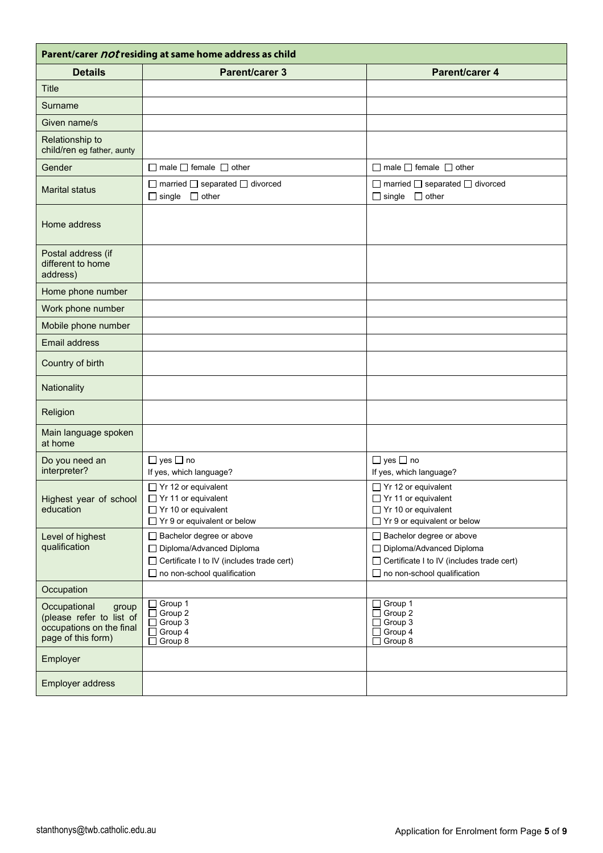| Parent/carer <i>not</i> residing at same home address as child                                      |                                                                                                                                                    |                                                                                                                                               |  |  |  |  |  |
|-----------------------------------------------------------------------------------------------------|----------------------------------------------------------------------------------------------------------------------------------------------------|-----------------------------------------------------------------------------------------------------------------------------------------------|--|--|--|--|--|
| <b>Details</b>                                                                                      | <b>Parent/carer 3</b>                                                                                                                              | Parent/carer 4                                                                                                                                |  |  |  |  |  |
| <b>Title</b>                                                                                        |                                                                                                                                                    |                                                                                                                                               |  |  |  |  |  |
| Surname                                                                                             |                                                                                                                                                    |                                                                                                                                               |  |  |  |  |  |
| Given name/s                                                                                        |                                                                                                                                                    |                                                                                                                                               |  |  |  |  |  |
| Relationship to<br>child/ren eg father, aunty                                                       |                                                                                                                                                    |                                                                                                                                               |  |  |  |  |  |
| Gender                                                                                              | $\Box$ male $\Box$ female $\Box$ other                                                                                                             | $\Box$ male $\Box$ female $\Box$ other                                                                                                        |  |  |  |  |  |
| <b>Marital status</b>                                                                               | $\Box$ married $\Box$ separated $\Box$ divorced<br>$\Box$ single $\Box$ other                                                                      | $\Box$ married $\Box$ separated $\Box$ divorced<br>$\Box$ single $\Box$ other                                                                 |  |  |  |  |  |
| Home address                                                                                        |                                                                                                                                                    |                                                                                                                                               |  |  |  |  |  |
| Postal address (if<br>different to home<br>address)                                                 |                                                                                                                                                    |                                                                                                                                               |  |  |  |  |  |
| Home phone number                                                                                   |                                                                                                                                                    |                                                                                                                                               |  |  |  |  |  |
| Work phone number                                                                                   |                                                                                                                                                    |                                                                                                                                               |  |  |  |  |  |
| Mobile phone number                                                                                 |                                                                                                                                                    |                                                                                                                                               |  |  |  |  |  |
| <b>Email address</b>                                                                                |                                                                                                                                                    |                                                                                                                                               |  |  |  |  |  |
| Country of birth                                                                                    |                                                                                                                                                    |                                                                                                                                               |  |  |  |  |  |
| Nationality                                                                                         |                                                                                                                                                    |                                                                                                                                               |  |  |  |  |  |
| Religion                                                                                            |                                                                                                                                                    |                                                                                                                                               |  |  |  |  |  |
| Main language spoken<br>at home                                                                     |                                                                                                                                                    |                                                                                                                                               |  |  |  |  |  |
| Do you need an<br>interpreter?                                                                      | $\Box$ yes $\Box$ no<br>If yes, which language?                                                                                                    | $\Box$ yes $\Box$ no<br>If yes, which language?                                                                                               |  |  |  |  |  |
| Highest year of school<br>education                                                                 | $\Box$ Yr 12 or equivalent<br>□ Yr 11 or equivalent<br>$\Box$ Yr 10 or equivalent<br>$\Box$ Yr 9 or equivalent or below                            | $\Box$ Yr 12 or equivalent<br>□ Yr 11 or equivalent<br>$\Box$ Yr 10 or equivalent<br>□ Yr 9 or equivalent or below                            |  |  |  |  |  |
| Level of highest<br>qualification                                                                   | $\Box$ Bachelor degree or above<br>□ Diploma/Advanced Diploma<br>□ Certificate I to IV (includes trade cert)<br>$\Box$ no non-school qualification | □ Bachelor degree or above<br>□ Diploma/Advanced Diploma<br>□ Certificate I to IV (includes trade cert)<br>$\Box$ no non-school qualification |  |  |  |  |  |
| Occupation                                                                                          |                                                                                                                                                    |                                                                                                                                               |  |  |  |  |  |
| Occupational<br>group<br>(please refer to list of<br>occupations on the final<br>page of this form) | $\Box$ Group 1<br>Group 2<br>□<br>$\Box$ Group 3<br>$\Box$ Group 4<br>$\Box$ Group 8                                                               | Group 1<br>Group 2<br>Group 3<br>Group 4<br>Group 8                                                                                           |  |  |  |  |  |
| Employer                                                                                            |                                                                                                                                                    |                                                                                                                                               |  |  |  |  |  |
| Employer address                                                                                    |                                                                                                                                                    |                                                                                                                                               |  |  |  |  |  |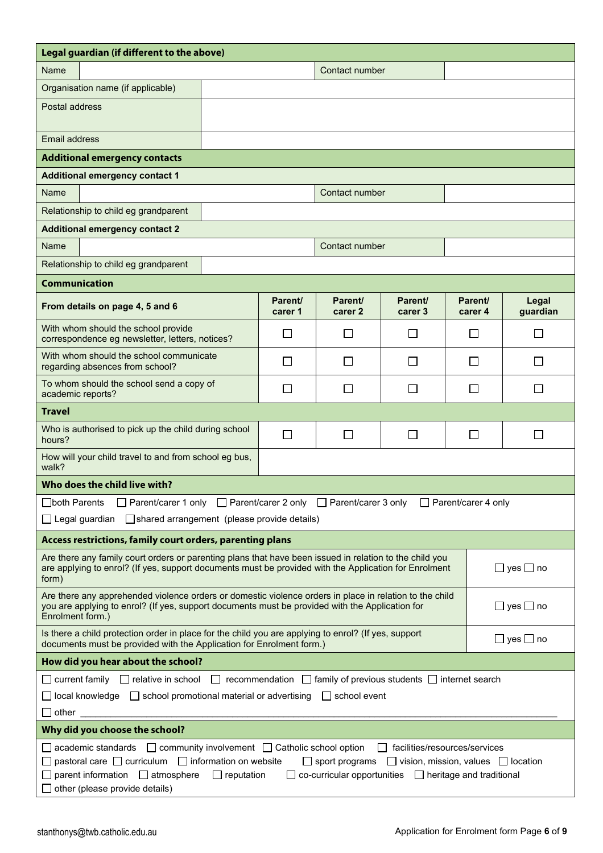| Legal guardian (if different to the above)                                                                                                                                                                                                                         |                    |                               |                                                                                                                                                                             |                    |                      |  |  |  |  |
|--------------------------------------------------------------------------------------------------------------------------------------------------------------------------------------------------------------------------------------------------------------------|--------------------|-------------------------------|-----------------------------------------------------------------------------------------------------------------------------------------------------------------------------|--------------------|----------------------|--|--|--|--|
| Name                                                                                                                                                                                                                                                               | Contact number     |                               |                                                                                                                                                                             |                    |                      |  |  |  |  |
| Organisation name (if applicable)                                                                                                                                                                                                                                  |                    |                               |                                                                                                                                                                             |                    |                      |  |  |  |  |
| Postal address                                                                                                                                                                                                                                                     |                    |                               |                                                                                                                                                                             |                    |                      |  |  |  |  |
| Email address                                                                                                                                                                                                                                                      |                    |                               |                                                                                                                                                                             |                    |                      |  |  |  |  |
| <b>Additional emergency contacts</b>                                                                                                                                                                                                                               |                    |                               |                                                                                                                                                                             |                    |                      |  |  |  |  |
| <b>Additional emergency contact 1</b>                                                                                                                                                                                                                              |                    |                               |                                                                                                                                                                             |                    |                      |  |  |  |  |
| Name                                                                                                                                                                                                                                                               |                    | Contact number                |                                                                                                                                                                             |                    |                      |  |  |  |  |
| Relationship to child eg grandparent                                                                                                                                                                                                                               |                    |                               |                                                                                                                                                                             |                    |                      |  |  |  |  |
| <b>Additional emergency contact 2</b>                                                                                                                                                                                                                              |                    |                               |                                                                                                                                                                             |                    |                      |  |  |  |  |
| Name                                                                                                                                                                                                                                                               |                    | Contact number                |                                                                                                                                                                             |                    |                      |  |  |  |  |
| Relationship to child eg grandparent                                                                                                                                                                                                                               |                    |                               |                                                                                                                                                                             |                    |                      |  |  |  |  |
| <b>Communication</b>                                                                                                                                                                                                                                               |                    |                               |                                                                                                                                                                             |                    |                      |  |  |  |  |
| From details on page 4, 5 and 6                                                                                                                                                                                                                                    | Parent/<br>carer 1 | Parent/<br>carer <sub>2</sub> | Parent/<br>carer 3                                                                                                                                                          | Parent/<br>carer 4 | Legal<br>guardian    |  |  |  |  |
| With whom should the school provide<br>correspondence eg newsletter, letters, notices?                                                                                                                                                                             | $\mathsf{L}$       | $\blacksquare$                | П                                                                                                                                                                           | $\mathbf{I}$       | $\mathsf{L}$         |  |  |  |  |
| With whom should the school communicate<br>regarding absences from school?                                                                                                                                                                                         | $\mathbf{L}$       | $\Box$                        | L                                                                                                                                                                           | $\mathbf{I}$       |                      |  |  |  |  |
| To whom should the school send a copy of<br>academic reports?                                                                                                                                                                                                      |                    |                               |                                                                                                                                                                             |                    |                      |  |  |  |  |
| <b>Travel</b>                                                                                                                                                                                                                                                      |                    |                               |                                                                                                                                                                             |                    |                      |  |  |  |  |
| Who is authorised to pick up the child during school<br>hours?                                                                                                                                                                                                     | $\Box$             | $\Box$                        | $\Box$                                                                                                                                                                      | $\perp$            | $\sim$               |  |  |  |  |
| How will your child travel to and from school eg bus,<br>walk?                                                                                                                                                                                                     |                    |                               |                                                                                                                                                                             |                    |                      |  |  |  |  |
| Who does the child live with?                                                                                                                                                                                                                                      |                    |                               |                                                                                                                                                                             |                    |                      |  |  |  |  |
| □ Parent/carer 1 only □ Parent/carer 2 only □ Parent/carer 3 only □ Parent/carer 4 only<br><b>⊟both Parents</b><br>□ shared arrangement (please provide details)<br>$\Box$ Legal guardian                                                                          |                    |                               |                                                                                                                                                                             |                    |                      |  |  |  |  |
| Access restrictions, family court orders, parenting plans                                                                                                                                                                                                          |                    |                               |                                                                                                                                                                             |                    |                      |  |  |  |  |
| Are there any family court orders or parenting plans that have been issued in relation to the child you<br>are applying to enrol? (If yes, support documents must be provided with the Application for Enrolment<br>form)                                          |                    |                               |                                                                                                                                                                             |                    | $\Box$ yes $\Box$ no |  |  |  |  |
| Are there any apprehended violence orders or domestic violence orders in place in relation to the child<br>$\Box$ yes $\Box$ no<br>you are applying to enrol? (If yes, support documents must be provided with the Application for<br>Enrolment form.)             |                    |                               |                                                                                                                                                                             |                    |                      |  |  |  |  |
| Is there a child protection order in place for the child you are applying to enrol? (If yes, support<br>$\Box$ yes $\Box$ no<br>documents must be provided with the Application for Enrolment form.)                                                               |                    |                               |                                                                                                                                                                             |                    |                      |  |  |  |  |
| How did you hear about the school?                                                                                                                                                                                                                                 |                    |                               |                                                                                                                                                                             |                    |                      |  |  |  |  |
| $\Box$ current family $\Box$ relative in school $\Box$ recommendation $\Box$ family of previous students $\Box$ internet search<br>$\Box$ local knowledge $\Box$ school promotional material or advertising $\Box$ school event<br>$\mathop{\hbox{$\bmod$}}$ other |                    |                               |                                                                                                                                                                             |                    |                      |  |  |  |  |
| Why did you choose the school?                                                                                                                                                                                                                                     |                    |                               |                                                                                                                                                                             |                    |                      |  |  |  |  |
| $\Box$ academic standards $\Box$ community involvement $\Box$ Catholic school option<br>$\Box$ pastoral care $\Box$ curriculum $\Box$ information on website<br>$\Box$ parent information $\Box$ atmosphere<br>$\Box$ reputation<br>other (please provide details) |                    |                               | facilities/resources/services<br>$\Box$ sport programs $\Box$ vision, mission, values $\Box$ location<br>$\Box$ co-curricular opportunities $\Box$ heritage and traditional |                    |                      |  |  |  |  |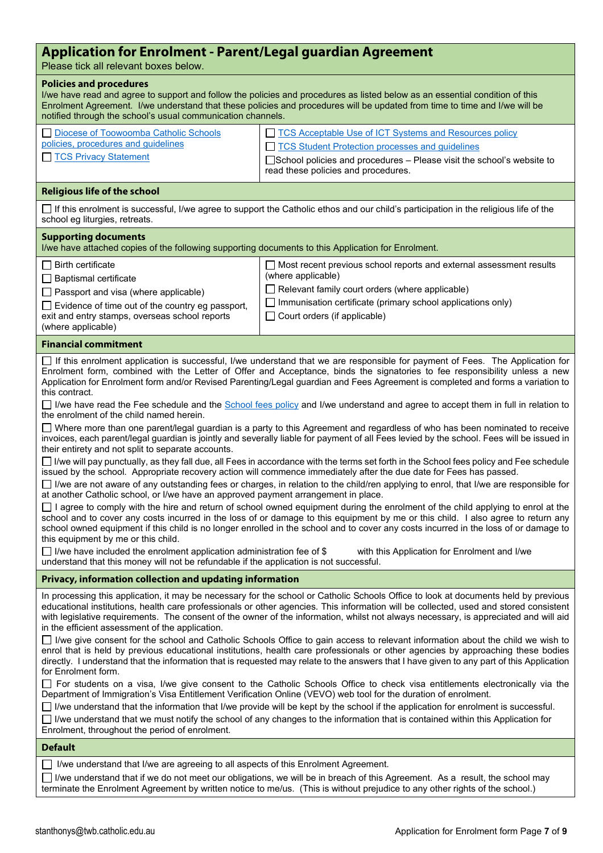# **Application for Enrolment - Parent/Legal guardian Agreement**

Please tick all relevant boxes below.

## **Policies and procedures**

| I/we have read and agree to support and follow the policies and procedures as listed below as an essential condition of this<br>Enrolment Agreement. I/we understand that these policies and procedures will be updated from time to time and I/we will be<br>notified through the school's usual communication channels. |                                                                                                                                                                                                                                    |  |  |  |  |  |
|---------------------------------------------------------------------------------------------------------------------------------------------------------------------------------------------------------------------------------------------------------------------------------------------------------------------------|------------------------------------------------------------------------------------------------------------------------------------------------------------------------------------------------------------------------------------|--|--|--|--|--|
| Diocese of Toowoomba Catholic Schools<br>policies, procedures and guidelines<br>TCS Privacy Statement                                                                                                                                                                                                                     | TCS Acceptable Use of ICT Systems and Resources policy<br>□ TCS Student Protection processes and guidelines<br>$\Box$ School policies and procedures – Please visit the school's website to<br>read these policies and procedures. |  |  |  |  |  |

## **Religious life of the school**

 $\Box$  If this enrolment is successful, I/we agree to support the Catholic ethos and our child's participation in the religious life of the school eg liturgies, retreats.

#### **Supporting documents**

I/we have attached copies of the following supporting documents to this Application for Enrolment. Birth certificate

 $\Box$  Baptismal certificate

 $\Box$  Passport and visa (where applicable)

| $\Box$ Most recent previous school reports and external assessment results |  |
|----------------------------------------------------------------------------|--|
| (where applicable)                                                         |  |

 $\Box$  Relevant family court orders (where applicable)

 $\Box$  Evidence of time out of the country eg passport,

exit and entry stamps, overseas school reports (where applicable)

 $\Box$  Immunisation certificate (primary school applications only)

 $\Box$  Court orders (if applicable)

# **Financial commitment**

If this enrolment application is successful, I/we understand that we are responsible for payment of Fees. The Application for Enrolment form, combined with the Letter of Offer and Acceptance, binds the signatories to fee responsibility unless a new Application for Enrolment form and/or Revised Parenting/Legal guardian and Fees Agreement is completed and forms a variation to this contract.

 $\Box$  I/we have read the Fee schedule and the [School fees policy](https://www.twb.catholic.edu.au/about-us/policies-and-publications/policies-procedures-and-guidelines/) and I/we understand and agree to accept them in full in relation to the enrolment of the child named herein.

Where more than one parent/legal guardian is a party to this Agreement and regardless of who has been nominated to receive invoices, each parent/legal guardian is jointly and severally liable for payment of all Fees levied by the school. Fees will be issued in their entirety and not split to separate accounts.

 $\Box$  I/we will pay punctually, as they fall due, all Fees in accordance with the terms set forth in the School fees policy and Fee schedule issued by the school. Appropriate recovery action will commence immediately after the due date for Fees has passed.

 $\Box$  I/we are not aware of any outstanding fees or charges, in relation to the child/ren applying to enrol, that I/we are responsible for at another Catholic school, or I/we have an approved payment arrangement in place.

 $\Box$  I agree to comply with the hire and return of school owned equipment during the enrolment of the child applying to enrol at the school and to cover any costs incurred in the loss of or damage to this equipment by me or this child. I also agree to return any school owned equipment if this child is no longer enrolled in the school and to cover any costs incurred in the loss of or damage to this equipment by me or this child.

I/we have included the enrolment application administration fee of  $$$  with this Application for Enrolment and I/we understand that this money will not be refundable if the application is not successful.

#### **Privacy, information collection and updating information**

In processing this application, it may be necessary for the school or Catholic Schools Office to look at documents held by previous educational institutions, health care professionals or other agencies. This information will be collected, used and stored consistent with legislative requirements. The consent of the owner of the information, whilst not always necessary, is appreciated and will aid in the efficient assessment of the application.

I/we give consent for the school and Catholic Schools Office to gain access to relevant information about the child we wish to enrol that is held by previous educational institutions, health care professionals or other agencies by approaching these bodies directly. I understand that the information that is requested may relate to the answers that I have given to any part of this Application for Enrolment form.

For students on a visa, I/we give consent to the Catholic Schools Office to check visa entitlements electronically via the Department of Immigration's Visa Entitlement Verification Online (VEVO) web tool for the duration of enrolment.

 $\Box$  I/we understand that the information that I/we provide will be kept by the school if the application for enrolment is successful.  $\Box$  I/we understand that we must notify the school of any changes to the information that is contained within this Application for Enrolment, throughout the period of enrolment.

#### **Default**

 $\Box$  I/we understand that I/we are agreeing to all aspects of this Enrolment Agreement.

 $\Box$  I/we understand that if we do not meet our obligations, we will be in breach of this Agreement. As a result, the school may terminate the Enrolment Agreement by written notice to me/us. (This is without prejudice to any other rights of the school.)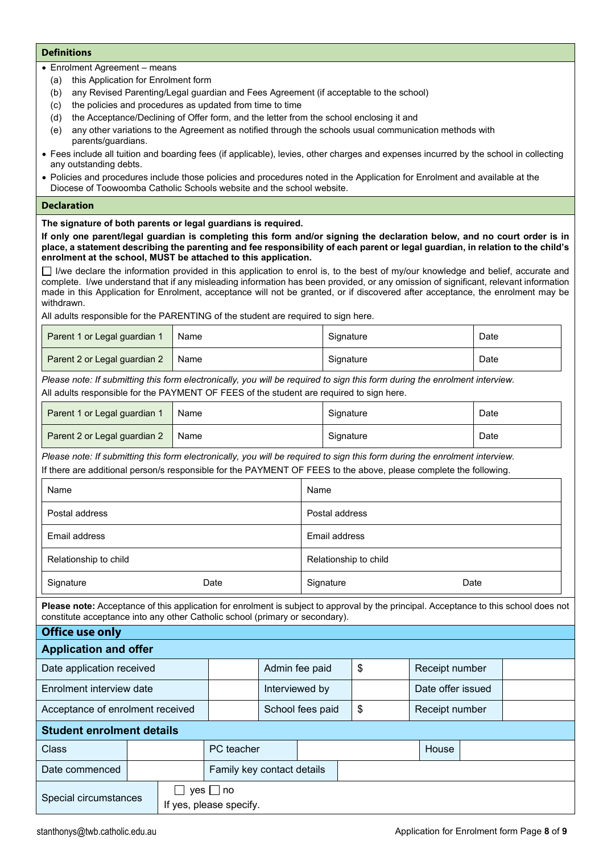# **Definitions**

- Enrolment Agreement means
	- (a) this Application for Enrolment form
	- (b) any Revised Parenting/Legal guardian and Fees Agreement (if acceptable to the school)
	- (c) the policies and procedures as updated from time to time
	- (d) the Acceptance/Declining of Offer form, and the letter from the school enclosing it and
	- (e) any other variations to the Agreement as notified through the schools usual communication methods with parents/guardians.
- Fees include all tuition and boarding fees (if applicable), levies, other charges and expenses incurred by the school in collecting any outstanding debts.
- Policies and procedures include those policies and procedures noted in the Application for Enrolment and available at the Diocese of Toowoomba Catholic Schools website and the school website.

#### **Declaration**

# **The signature of both parents or legal guardians is required.**

**If only one parent/legal guardian is completing this form and/or signing the declaration below, and no court order is in place, a statement describing the parenting and fee responsibility of each parent or legal guardian, in relation to the child's enrolment at the school, MUST be attached to this application.**

 $\Box$  I/we declare the information provided in this application to enrol is, to the best of my/our knowledge and belief, accurate and complete. I/we understand that if any misleading information has been provided, or any omission of significant, relevant information made in this Application for Enrolment, acceptance will not be granted, or if discovered after acceptance, the enrolment may be withdrawn.

All adults responsible for the PARENTING of the student are required to sign here.

| Parent 1 or Legal guardian 1 | Name | Signature | Date |
|------------------------------|------|-----------|------|
| Parent 2 or Legal guardian 2 | Name | Signature | Date |

*Please note: If submitting this form electronically, you will be required to sign this form during the enrolment interview.* All adults responsible for the PAYMENT OF FEES of the student are required to sign here.

| Parent 1 or Legal guardian 1 | Name | Signature | Date |
|------------------------------|------|-----------|------|
| Parent 2 or Legal guardian 2 | Name | Signature | Date |

*Please note: If submitting this form electronically, you will be required to sign this form during the enrolment interview.* If there are additional person/s responsible for the PAYMENT OF FEES to the above, please complete the following.

| Name                  |      | Name                  |      |
|-----------------------|------|-----------------------|------|
| Postal address        |      | Postal address        |      |
| Email address         |      | Email address         |      |
| Relationship to child |      | Relationship to child |      |
| Signature             | Date | Signature             | Date |

**Please note:** Acceptance of this application for enrolment is subject to approval by the principal. Acceptance to this school does not constitute acceptance into any other Catholic school (primary or secondary).

| <b>Office use only</b>           |  |  |                                     |                            |  |                   |                |  |
|----------------------------------|--|--|-------------------------------------|----------------------------|--|-------------------|----------------|--|
| <b>Application and offer</b>     |  |  |                                     |                            |  |                   |                |  |
| Date application received        |  |  |                                     | Admin fee paid             |  | \$                | Receipt number |  |
| Enrolment interview date         |  |  | Interviewed by                      |                            |  | Date offer issued |                |  |
| Acceptance of enrolment received |  |  |                                     | School fees paid           |  | \$                | Receipt number |  |
| <b>Student enrolment details</b> |  |  |                                     |                            |  |                   |                |  |
| Class                            |  |  | PC teacher                          |                            |  |                   | House          |  |
| Date commenced                   |  |  |                                     | Family key contact details |  |                   |                |  |
| Special circumstances            |  |  | yes ∐ no<br>If yes, please specify. |                            |  |                   |                |  |